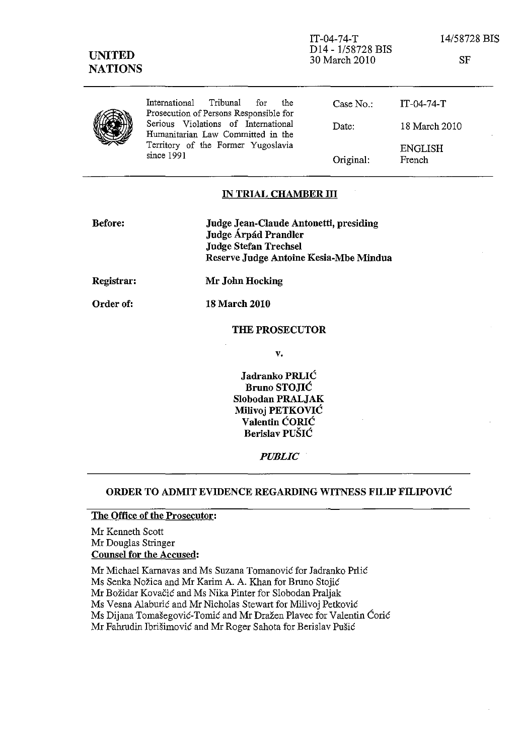| <b>UNITED</b><br><b>NATIONS</b> |                                                                                       | $IT-04-74-T$<br>D14 - 1/58728 BIS<br>30 March 2010 | 14/58728 BIS<br><b>SF</b> |
|---------------------------------|---------------------------------------------------------------------------------------|----------------------------------------------------|---------------------------|
|                                 | International<br>Tribunal<br>for for<br>the<br>Prosecution of Persons Responsible for | Case No.                                           | $IT-04-74-T$              |
|                                 | Serious Violations of International<br>Humanitarian Law Committed in the              | Date:                                              | 18 March 2010             |
|                                 | Territory of the Former Yugoslavia<br>since 1991                                      | Original:                                          | <b>ENGLISH</b><br>French  |

### IN TRIAL CHAMBER III

| <b>Before:</b> | Judge Jean-Claude Antonetti, presiding<br>Judge Árpád Prandler<br><b>Judge Stefan Trechsel</b><br>Reserve Judge Antoine Kesia-Mbe Mindua |
|----------------|------------------------------------------------------------------------------------------------------------------------------------------|
| Registrar:     | Mr John Hocking                                                                                                                          |

Order of: 18 March 2010

#### THE PROSECUTOR

v.

Jadranko PRLIC Bruno STOJIC Slobodan PRALJAK Milivoj PETKOVIC Valentin CORIC Berislav PUSIC

*PUBLIC* 

## ORDER TO ADMIT EVIDENCE REGARDING WITNESS FILIP FILIPOVIC

### The Office of the Prosecutor:

Mr Kenneth Scott Mr Douglas Stringer Counsel for the Accused:

Mr Michael Karnavas and Ms Suzana Tomanović for Jadranko Prlić Ms Senka Nožica and Mr Karim A. A. Khan for Bruno Stojić Mr Bozidar Kovacic and Ms Nika Pinter for Slobodan Praljak Ms Vesna Alaburic and Mr Nicholas Stewart for Milivoj Petkovie Ms Dijana Tomašegović-Tomić and Mr Dražen Plavec for Valentin Ćorić Mr Fahrudin Ibrišimović and Mr Roger Sahota for Berislav Pušić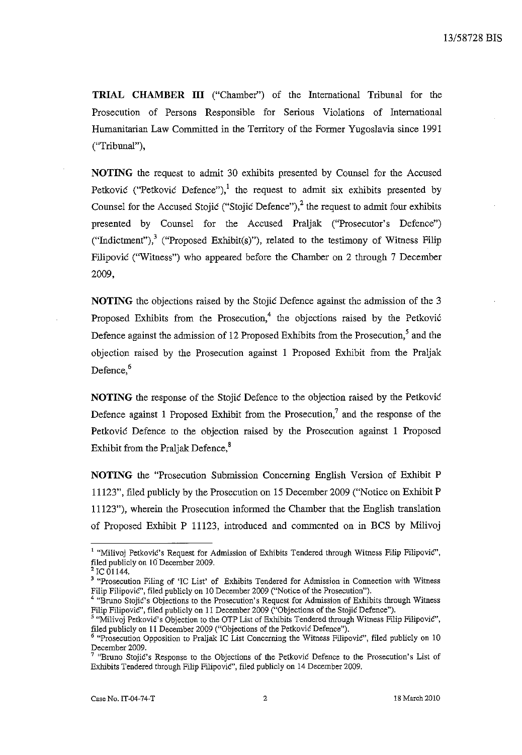**TRIAL CHAMBER III** ("Chamber") of the International Tribunal for the Prosecution of Persons Responsible for Serious Violations of International Humanitarian Law Conunitted in the Territory of the Former Yugoslavia since 1991 ("Tribunal"),

**NOTING** the request to admit 30 exhibits presented by Counsel for the Accused Petković ("Petković Defence"), <sup>1</sup> the request to admit six exhibits presented by Counsel for the Accused Stojic ("Stojic Defence"), $^2$  the request to admit four exhibits presented by Counsel for the Accused Praljak ("Prosecutor's Defence") ("Indictment"),<sup>3</sup> ("Proposed Exhibit(s)"), related to the testimony of Witness Filip Filipovic ("Witness") who appeared before the Chamber on 2 through 7 December 2009,

**NOTING** the objections raised by the Stojic Defence against the admission of the 3 Proposed Exhibits from the Prosecution,<sup>4</sup> the objections raised by the Petković Defence against the admission of 12 Proposed Exhibits from the Prosecution,<sup>5</sup> and the objection raised by the Prosecution against 1 Proposed Exhibit from the Praljak Defence.<sup>6</sup>

**NOTING** the response of the Stojic Defence to the objection raised by the Petkovic Defence against 1 Proposed Exhibit from the Prosecution,<sup>7</sup> and the response of the Petkovic Defence to the objection raised by the Prosecution against 1 Proposed Exhibit from the Praljak Defence, $s$ 

**NOTING** the "Prosecution Submission Concerning English Version of Exhibit P 11123", filed publicly by the Prosecution on 15 December 2009 ("Notice on Exhibit P 11123"), wherein the Prosecution informed the Chamber that the English translation of Proposed Exhibit P 11123, introduced and commented on in BCS by Milivoj

<sup>&</sup>lt;sup>1</sup> "Milivoj Petković's Request for Admission of Exhibits Tendered through Witness Filip Filipović", filed publicly on 10 December 2009.

 $^2$  IC 01144.

<sup>&</sup>lt;sup>3</sup> "Prosecution Filing of 'IC List' of Exhibits Tendered for Admission in Connection with Witness Filip FilipoviC", filed publicly on 10 December 2009 ("Notice of the Prosecution").

<sup>&</sup>lt;sup>4</sup> "Bruno Stojić's Objections to the Prosecution's Request for Admission of Exhibits through Witness Filip Filipovic", filed publicly on 11 December 2009 ("Objections of the Stojic Defence").

<sup>5 &</sup>quot;Milivoj Petkovic's Objection to the OTP List of Exhibits Tendered through Witness Filip Filipovic", filed publicly on 11 December 2009 ("Objections of the Petkovic Defence").

<sup>6 &</sup>quot;Prosecution Opposition to Praljak IC List Concerning the Witness Filipovic", filed publicly on 10 December 2009.

**<sup>7 &</sup>quot;Bruno Stojic's Response to the Objections of the Petkovic Defence to the Prosecution's List of**  Exhibits Tendered through Filip FilipoviC', filed publicly on 14 December 2009.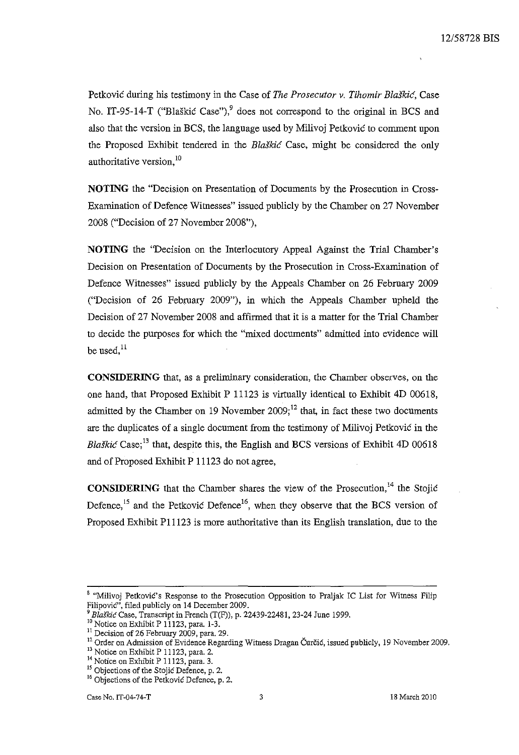Petkovic during his testimony in the Case of *The Prosecutor v. Tihomir Blaskic,* Case No. IT-95-14-T ("Blaškić Case"),<sup>9</sup> does not correspond to the original in BCS and also that the version in BCS, the language used by Milivoj Petkovic to comment upon the Proposed Exhibit tendered in the *Blaskic* Case, might be considered the only authoritative version, 10

NOTING the "Decision on Presentation of Documents by the Prosecution in Cross-Examination of Defence Witnesses" issued publicly by the Chamber on 27 November 2008 ("Decision of 27 November 2008"),

NOTING the ''Decision on the Interlocutory Appeal Against the Trial Chamber's Decision on Presentation of Documents by the Prosecution in Cross-Examination of Defence Witnesses" issued publicly by the Appeals Chamber on 26 February 2009 ("Decision of 26 February 2009"), in which the Appeals Chamber upheld the Decision of 27 November 2008 and affirmed that it is a matter for the Trial Chamber to decide the purposes for which the "mixed documents" admitted into evidence will be used, $^{11}$ 

**CONSIDERING** that, as a preliminary consideration, the Chamber observes, on the one hand, that Proposed Exhibit P 11123 is virtually identical to Exhibit 4D 00618, admitted by the Chamber on 19 November 2009; $^{12}$  that, in fact these two documents are the duplicates of a single document from the testimony of Milivoj Petkovic in the *Blaškić* Case;<sup>13</sup> that, despite this, the English and BCS versions of Exhibit 4D 00618 and of Proposed Exhibit P 11123 do not agree,

**CONSIDERING** that the Chamber shares the view of the Prosecution,<sup>14</sup> the Stojic Defence,<sup>15</sup> and the Petković Defence<sup>16</sup>, when they observe that the BCS version of Proposed Exhibit P11123 is more authoritative than its English translation, due to the

<sup>&</sup>lt;sup>8</sup> "Milivoj Petković's Response to the Prosecution Opposition to Praljak IC List for Witness Filip Filipovic", filed publicly on 14 December 2009.

*Blaškić* Case, Transcript in French (T(F)), p. 22439-22481, 23-24 June 1999.

<sup>&</sup>lt;sup>10</sup> Notice on Exhibit P 11123, para. 1-3.

 $11$  Decision of 26 February 2009, para. 29.

<sup>&</sup>lt;sup>12</sup> Order on Admission of Evidence Regarding Witness Dragan Čurčić, issued publicly, 19 November 2009.

 $^{13}_{11}$  Notice on Exhibit P 11123, para. 2.

<sup>&</sup>lt;sup>14</sup> Notice on Exhibit P 11123, para. 3.

<sup>&</sup>lt;sup>15</sup> Objections of the Stojic Defence, p. 2.

<sup>&</sup>lt;sup>16</sup> Objections of the Petkovic Defence, p. 2.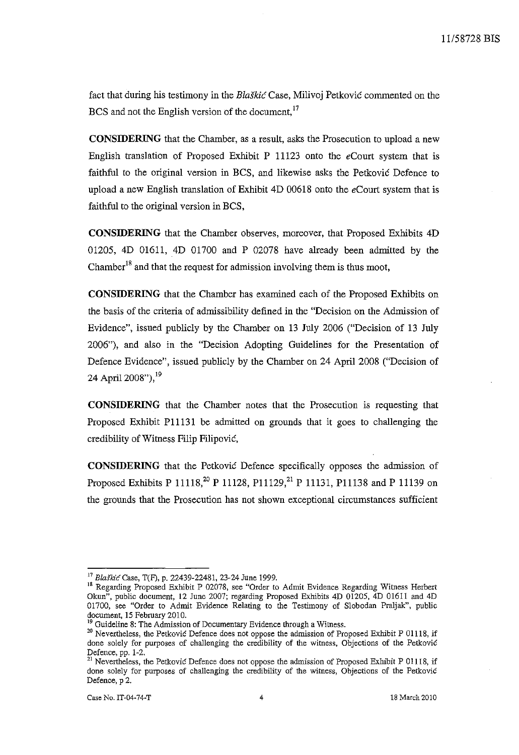fact that during his testimony in the Blaškić Case, Milivoj Petković commented on the BCS and not the English version of the document,<sup>17</sup>

**CONSIDERING** that the Chamber, as a result, asks the Prosecution to upload a new English translation of Proposed Exhibit P 11123 onto the *eCourt* system that is faithful to the original version in BCS, and likewise asks the Petkovic Defence to upload a new English translation of Exhibit 4D 00618 onto the *eCourt* system that is faithful to the original version in BCS,

**CONSIDERING** that the Chamber observes, moreover, that Proposed Exhibits 4D 01205, 4D 01611, 4D 01700 and P 02078 have already been admitted by the Chamber<sup>18</sup> and that the request for admission involving them is thus moot,

**CONSIDERING** that the Chamber has examined each of the Proposed Exhibits on the basis of the criteria of admissibility defined in the "Decision on the Admission of Evidence", issued publicly by the Chamber on 13 July 2006 ("Decision of 13 July 2006"), and also in the "Decision Adopting Guidelines for the Presentation of Defence Evidence", issued publicly by the Chamber on 24 April 2008 ("Decision of 24 April 2008"), <sup>19</sup>

**CONSIDERING** that the Chamber notes that the Prosecution is requesting that Proposed Exhibit Pl1131 be admitted on grounds that it goes to challenging the credibility of Witness Filip Filipovic,

**CONSIDERING** that the Petkovic Defence specifically opposes the admission of Proposed Exhibits P 11118,<sup>20</sup> P 11128, P11129,<sup>21</sup> P 11131, P11138 and P 11139 on the grounds that the Prosecution has not shown exceptional circumstances sufficient

<sup>&</sup>lt;sup>17</sup> Blaškić Case, T(F), p. 22439-22481, 23-24 June 1999.

<sup>&</sup>lt;sup>18</sup> Regarding Proposed Exhibit P 02078, see "Order to Admit Evidence Regarding Witness Herbert Okun", public document, 12 June 2007; regarding Proposed Exhibits 4D 01205, 4D 01611 and 4D 01700, see "Order to Admit Evidence Relating to the Testimony of Slobodan Praljak", public document, 15 February 2010.

**<sup>19</sup> Guideline 8: The Admission of Documentary Evidence through a Witness.** 

**<sup>20</sup> Nevertheless, the Petkovic Defence does not oppose the admission of Proposed Exhibit P 01118, if**  done solely for purposes of challenging the credibility of the witness, Objections of the Petković Defence, pp. 1-2.

<sup>&</sup>lt;sup>21</sup> Nevertheless, the Petkovic Defence does not oppose the admission of Proposed Exhibit P 01118, if done solely for purposes of challenging the credibility of the witness, Objections of the Petković Defence, p 2.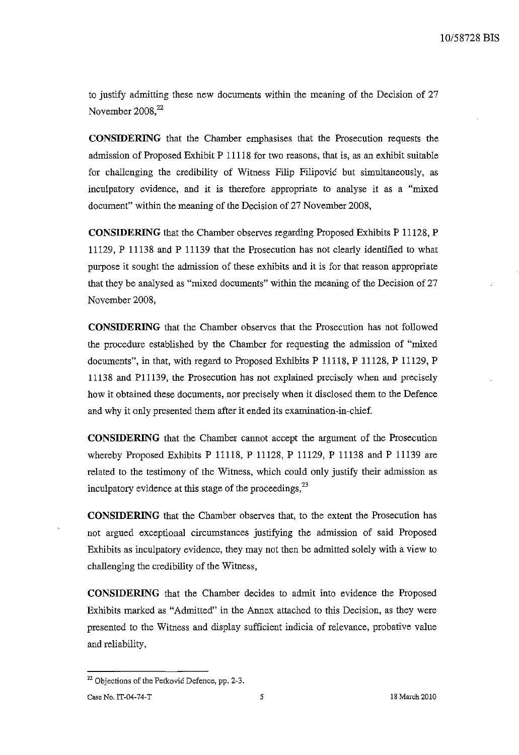to justify admitting these new documents within the meaning of the Decision of 27 November  $2008$ <sup>22</sup>

**CONSIDERING** that the Chamber emphasises that the Prosecution requests the admission of Proposed Exhibit P 11118 for two reasons, that is, as an exhibit suitable for challenging the credibility of Witness Filip Filipovic but simultaneously, as inculpatory evidence, and it is therefore appropriate to analyse it as a "mixed document" within the meaning of the Decision of 27 November 2008,

**CONSIDERING** that the Chamber observes regarding Proposed Exhibits P 11128, P 11129, P 11138 and P 11139 that the Prosecution has not clearly identified to what purpose it sought the admission of these exhibits and it is for that reason appropriate that they be analysed as "mixed documents" within the meaning of the Decision of 27 November 2008,

**CONSIDERING** that the Chamber observes that the Prosecution has not followed the procedure established by the Chamber for requesting the admission of "mixed documents", in that, with regard to Proposed Exhibits P 11118, P 11128, P 11129, P 11138 and Pl1139, the Prosecution has not explained precisely when and precisely how it obtained these documents, nor precisely when it disclosed them to the Defence and why it only presented them after it ended its examination-in-chief.

**CONSIDERING** that the Chamber cannot accept the argument of the Prosecution whereby Proposed Exhibits P 11118, P 11128, P 11129, P 11138 and P 11139 are related to the testimony of the Witness, which could only justify their admission as inculpatory evidence at this stage of the proceedings,  $2<sup>3</sup>$ 

**CONSIDERING** that the Chamber observes that, to the extent the Prosecution has not argued exceptional circumstances justifying the admission of said Proposed Exhibits as inculpatory evidence, they may not then be admitted solely with a view to challenging the credibility of the Witness,

**CONSIDERING** that the Chamber decides to admit into evidence the Proposed Exhibits marked as "Admitted" in the Annex attached to this Decision, as they were presented to the Witness and display sufficient indicia of relevance, probative value and reliability,

<sup>&</sup>lt;sup>22</sup> Objections of the Petkovic Defence, pp. 2-3.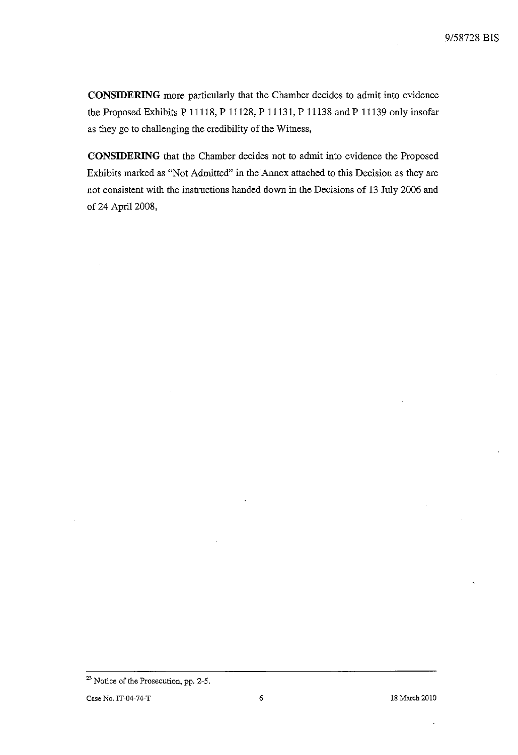**CONSIDERING** more particularly that the Chamber decides to admit into evidence the Proposed Exhibits P 11118, P 11128, P 11131, P 11138 and P 11139 only insofar as they go to challenging the credibility of the Witness,

**CONSIDERING** that the Chamber decides not to admit into evidence the Proposed Exhibits marked as "Not Admitted" in the Annex attached to this Decision as they are not consistent with the instructions handed down in the Decisions of 13 July 2006 and of 24 April 2008,

**<sup>23</sup> Notice of the Prosecution, pp. 2-5.**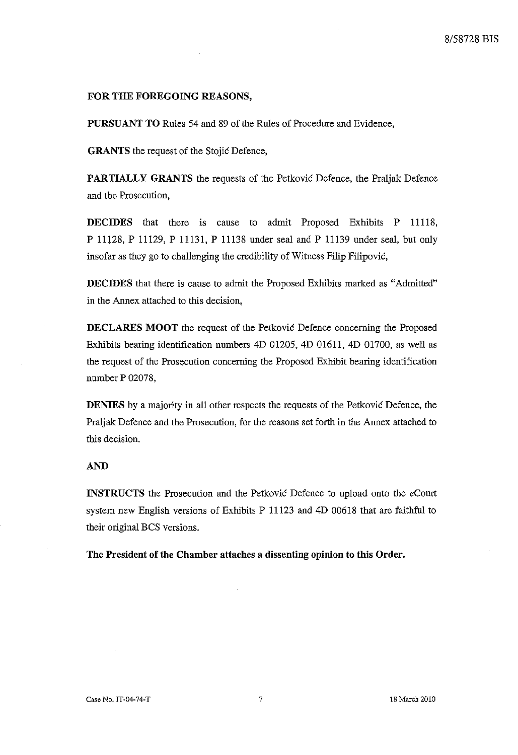#### **FOR THE FOREGOING REASONS,**

**PURSUANT TO** Rules 54 and 89 of the Rules of Procedure and Evidence,

**GRANTS** the request of the Stojic Defence,

**PARTIALLY GRANTS** the requests of the Petkovic Defence, the Praljak Defence and the Prosecution,

**DECIDES** that there is cause to admit Proposed Exhibits P 11118, P 11128, P 11129, P 11131, P 11138 under seal and P 11139 under seal, but only insofar as they go to challenging the credibility of Witness Filip Filipovic,

**DECIDES** that there is cause to admit the Proposed Exhibits marked as "Admitted" in the Annex attached to this decision,

**DECLARES MOOT** the request of the Petkovic Defence concerning the Proposed Exhibits bearing identification numbers 4D 01205, 4D 01611, 4D 01700, as well as the request of the Prosecution concerning the Proposed Exhibit bearing identification number P 02078,

**DENIES** by a majority in all other respects the requests of the Petkovic Defence, the Pral jak Defence and the Prosecution, for the reasons set forth in the Annex attached to this decision.

#### **AND**

**INSTRUCTS** the Prosecution and the Petkovic Defence to upload onto the *eCourt*  system new English versions of Exhibits P 11123 and 4D 00618 that are faithful to their original BCS versions.

**The President of the Chamber attaches a dissenting opinion to this Order.**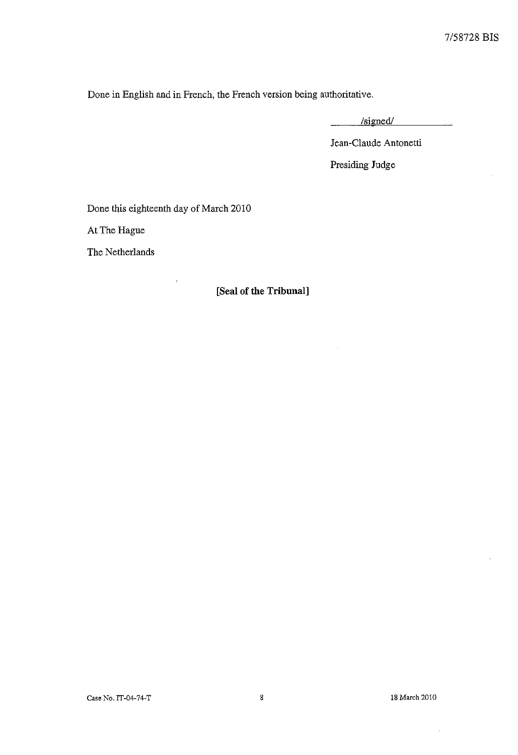Done in English and in French, the French version being authoritative.

/signed/  $\mathcal{L}^{\text{max}}$ 

Jean-Claude Antonetti

Presiding Judge

Done this eighteenth day of March 2010

At The Hague

The Netherlands

# **[Seal of the Tribunal]**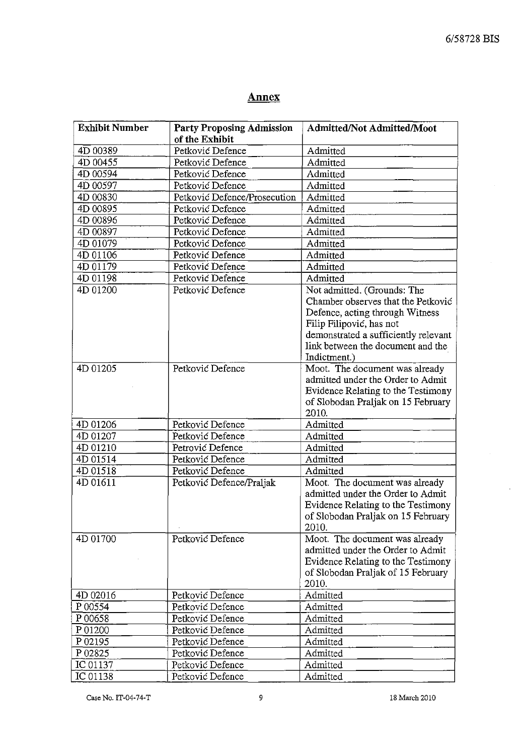$\hat{\mathcal{L}}$ 

# **Annex**

| <b>Exhibit Number</b> | <b>Party Proposing Admission</b> | <b>Admitted/Not Admitted/Moot</b>    |
|-----------------------|----------------------------------|--------------------------------------|
|                       | of the Exhibit                   |                                      |
| 4D 00389              | Petković Defence                 | Admitted                             |
| 4D 00455              | Petković Defence                 | Admitted                             |
| 4D 00594              | Petković Defence                 | Admitted                             |
| 4D 00597              | Petković Defence                 | Admitted                             |
| 4D 00830              | Petković Defence/Prosecution     | Admitted                             |
| 4D 00895              | Petković Defence                 | Admitted                             |
| 4D 00896              | Petković Defence                 | Admitted                             |
| 4D 00897              | Petković Defence                 | Admitted                             |
| 4D 01079              | Petković Defence                 | Admitted                             |
| 4D 01106              | Petković Defence                 | Admitted                             |
| 4D 01179              | Petković Defence                 | Admitted                             |
| 4D 01198              | Petković Defence                 | Admitted                             |
| 4D 01200              | Petković Defence                 | Not admitted. (Grounds: The          |
|                       |                                  | Chamber observes that the Petković   |
|                       |                                  | Defence, acting through Witness      |
|                       |                                  | Filip Filipović, has not             |
|                       |                                  | demonstrated a sufficiently relevant |
|                       |                                  | link between the document and the    |
|                       |                                  | Indictment.)                         |
| 4D 01205              | Petković Defence                 | Moot. The document was already       |
|                       |                                  | admitted under the Order to Admit    |
|                       |                                  | Evidence Relating to the Testimony   |
|                       |                                  | of Slobodan Praljak on 15 February   |
|                       |                                  | 2010.                                |
| 4D 01206              | Petković Defence                 | Admitted                             |
| 4D 01207              | Petković Defence                 | Admitted                             |
| 4D 01210              | Petrović Defence                 | Admitted                             |
| 4D 01514              | Petković Defence                 | Admitted                             |
| 4D 01518              | Petković Defence                 | Admitted                             |
| 4D 01611              | Petković Defence/Praljak         | Moot. The document was already       |
|                       |                                  | admitted under the Order to Admit    |
|                       |                                  | Evidence Relating to the Testimony   |
|                       |                                  | of Slobodan Praljak on 15 February   |
|                       |                                  | 2010.                                |
| 4D 01700              | Petković Defence                 | Moot. The document was already       |
|                       |                                  | admitted under the Order to Admit    |
|                       |                                  | Evidence Relating to the Testimony   |
|                       |                                  | of Slobodan Praljak of 15 February   |
|                       |                                  | 2010.                                |
| 4D 02016              | Petković Defence                 | Admitted                             |
| P 00554               | Petković Defence                 | Admitted                             |
| P 00658               | Petković Defence                 | Admitted                             |
| P01200                | Petković Defence                 | Admitted                             |
| P 02195               | Petković Defence                 | Admitted                             |
| P 02825               | Petković Defence                 | Admitted                             |
| IC 01137              | Petković Defence                 | Admitted                             |
| IC 01138              | Petković Defence                 | Admitted                             |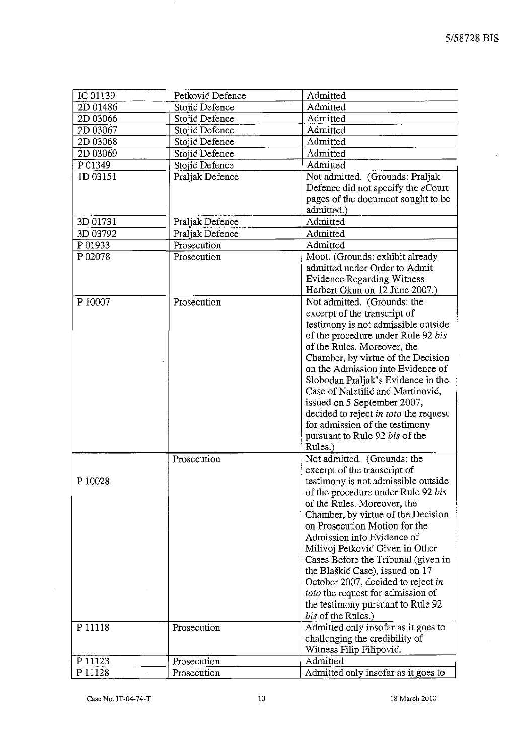$\mathcal{L}$ 

| IC 01139 | Petković Defence | Admitted                                                            |
|----------|------------------|---------------------------------------------------------------------|
| 2D 01486 | Stojić Defence   | Admitted                                                            |
| 2D 03066 | Stojić Defence   | Admitted                                                            |
| 2D 03067 | Stojić Defence   | Admitted                                                            |
| 2D 03068 | Stojić Defence   | Admitted                                                            |
| 2D 03069 | Stojić Defence   | Admitted                                                            |
| P 01349  | Stojić Defence   | Admitted                                                            |
| 1D 03151 | Praljak Defence  | Not admitted. (Grounds: Praljak                                     |
|          |                  | Defence did not specify the eCourt                                  |
|          |                  | pages of the document sought to be                                  |
|          |                  | admitted.)                                                          |
| 3D 01731 | Praljak Defence  | Admitted                                                            |
| 3D 03792 | Praljak Defence  | Admitted                                                            |
| P 01933  | Prosecution      | Admitted                                                            |
| P 02078  | Prosecution      | Moot. (Grounds: exhibit already                                     |
|          |                  | admitted under Order to Admit                                       |
|          |                  | <b>Evidence Regarding Witness</b>                                   |
|          |                  | Herbert Okun on 12 June 2007.)                                      |
| P 10007  | Prosecution      | Not admitted. (Grounds: the                                         |
|          |                  | excerpt of the transcript of                                        |
|          |                  | testimony is not admissible outside                                 |
|          |                  | of the procedure under Rule 92 bis                                  |
|          |                  | of the Rules. Moreover, the                                         |
|          |                  | Chamber, by virtue of the Decision                                  |
|          |                  | on the Admission into Evidence of                                   |
|          |                  | Slobodan Praljak's Evidence in the                                  |
|          |                  | Case of Naletilić and Martinović,                                   |
|          |                  | issued on 5 September 2007,                                         |
|          |                  | decided to reject in toto the request                               |
|          |                  | for admission of the testimony                                      |
|          |                  | pursuant to Rule 92 bis of the                                      |
|          |                  | Rules.)                                                             |
|          |                  |                                                                     |
|          | Prosecution      | Not admitted. (Grounds: the                                         |
|          |                  | excerpt of the transcript of                                        |
| P 10028  |                  | testimony is not admissible outside                                 |
|          |                  | of the procedure under Rule 92 bis                                  |
|          |                  | of the Rules. Moreover, the                                         |
|          |                  | Chamber, by virtue of the Decision<br>on Prosecution Motion for the |
|          |                  |                                                                     |
|          |                  | Admission into Evidence of                                          |
|          |                  | Milivoj Petković Given in Other                                     |
|          |                  | Cases Before the Tribunal (given in                                 |
|          |                  | the Blaškić Case), issued on 17                                     |
|          |                  | October 2007, decided to reject in                                  |
|          |                  | toto the request for admission of                                   |
|          |                  | the testimony pursuant to Rule 92                                   |
|          |                  | bis of the Rules.)                                                  |
| P 11118  | Prosecution      | Admitted only insofar as it goes to                                 |
|          |                  | challenging the credibility of                                      |
|          |                  | Witness Filip Filipović.                                            |
| P 11123  | Prosecution      | Admitted                                                            |
| P 11128  | Prosecution      | Admitted only insofar as it goes to                                 |

 $\mathcal{A}$ 

 $\bar{z}$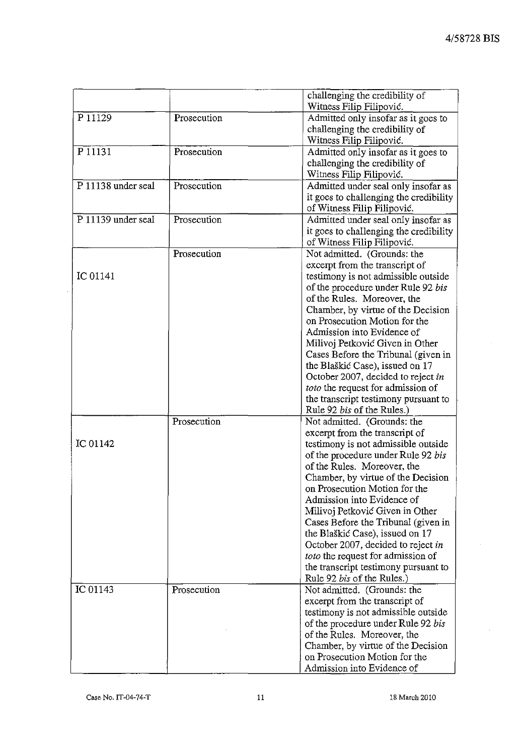|                    |             | challenging the credibility of         |
|--------------------|-------------|----------------------------------------|
|                    |             | Witness Filip Filipović.               |
| P 11129            | Prosecution | Admitted only insofar as it goes to    |
|                    |             | challenging the credibility of         |
|                    |             | Witness Filip Filipović.               |
| P 11131            | Prosecution | Admitted only insofar as it goes to    |
|                    |             | challenging the credibility of         |
|                    |             | Witness Filip Filipović.               |
| P 11138 under seal | Prosecution | Admitted under seal only insofar as    |
|                    |             | it goes to challenging the credibility |
|                    |             | of Witness Filip Filipović.            |
| P 11139 under seal | Prosecution | Admitted under seal only insofar as    |
|                    |             | it goes to challenging the credibility |
|                    |             | of Witness Filip Filipović.            |
|                    | Prosecution | Not admitted. (Grounds: the            |
|                    |             | excerpt from the transcript of         |
| IC 01141           |             | testimony is not admissible outside    |
|                    |             | of the procedure under Rule 92 bis     |
|                    |             | of the Rules. Moreover, the            |
|                    |             | Chamber, by virtue of the Decision     |
|                    |             | on Prosecution Motion for the          |
|                    |             | Admission into Evidence of             |
|                    |             | Milivoj Petković Given in Other        |
|                    |             | Cases Before the Tribunal (given in    |
|                    |             | the Blaškić Case), issued on 17        |
|                    |             | October 2007, decided to reject in     |
|                    |             | toto the request for admission of      |
|                    |             | the transcript testimony pursuant to   |
|                    |             | Rule 92 bis of the Rules.)             |
|                    | Prosecution | Not admitted. (Grounds: the            |
|                    |             | excerpt from the transcript of         |
| IC 01142           |             | testimony is not admissible outside    |
|                    |             | of the procedure under Rule 92 bis     |
|                    |             | of the Rules. Moreover, the            |
|                    |             | Chamber, by virtue of the Decision     |
|                    |             | on Prosecution Motion for the          |
|                    |             | Admission into Evidence of             |
|                    |             | Milivoj Petković Given in Other        |
|                    |             | Cases Before the Tribunal (given in    |
|                    |             | the Blaškić Case), issued on 17        |
|                    |             | October 2007, decided to reject in     |
|                    |             | toto the request for admission of      |
|                    |             | the transcript testimony pursuant to   |
|                    |             | Rule 92 bis of the Rules.)             |
| IC 01143           | Prosecution | Not admitted. (Grounds: the            |
|                    |             | excerpt from the transcript of         |
|                    |             | testimony is not admissible outside    |
|                    |             | of the procedure under Rule 92 bis     |
|                    |             | of the Rules. Moreover, the            |
|                    |             | Chamber, by virtue of the Decision     |
|                    |             | on Prosecution Motion for the          |
|                    |             | Admission into Evidence of             |

 $\sim$ 

 $\bar{z}$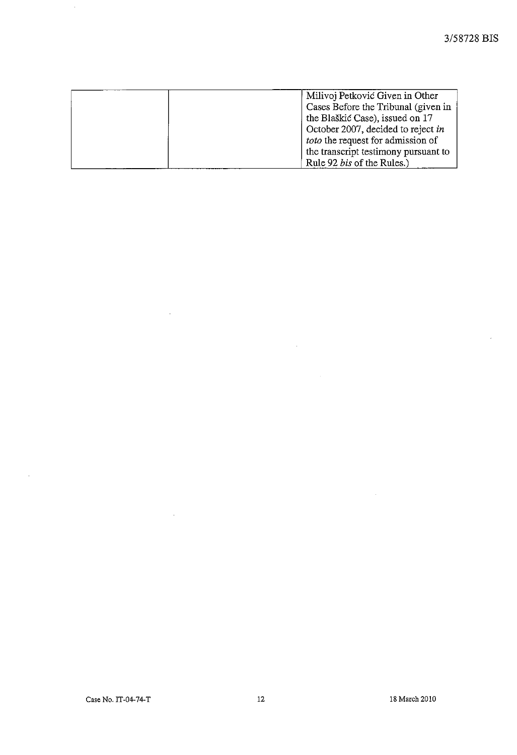$\hat{\mathcal{A}}$ 

| Milivoj Petković Given in Other      |
|--------------------------------------|
| Cases Before the Tribunal (given in  |
| the Blaškić Case), issued on 17      |
| October 2007, decided to reject in   |
| toto the request for admission of    |
| the transcript testimony pursuant to |
| Rule 92 bis of the Rules.)           |

 $\mathcal{A}^{\text{max}}_{\text{max}}$ 

 $\mathcal{L}_{\text{max}}$  and  $\mathcal{L}_{\text{max}}$ 

 $\sim$ 

 $\sim 10^{-1}$ 

 $\sim$ 

 $\hat{\mathcal{A}}$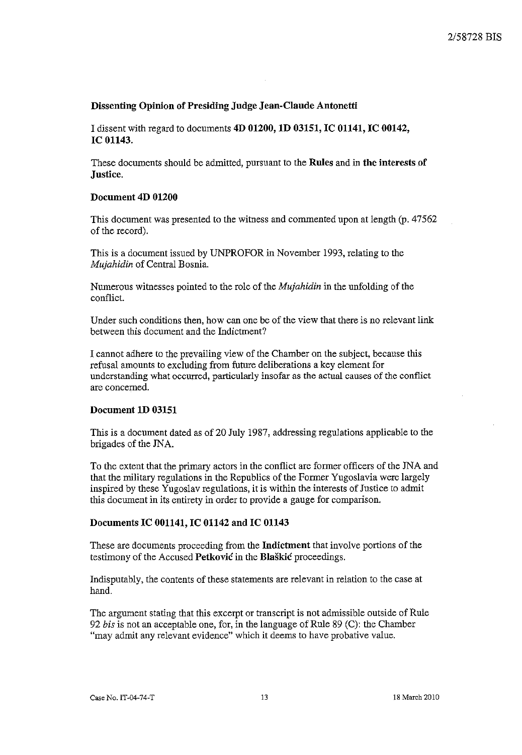# Dissenting Opinion of Presiding Judge Jean-Claude Antonetti

I dissent with regard to documents 4D 01200, ID 03151, IC 01141, IC 00142, IC 01143.

These documents should be admitted, pursuant to the Rules and in the interests of Justice.

### Document 4D 01200

This document was presented to the witness and commented upon at length (p. 47562 of the record).

This is a document issued by UNPROFOR in November 1993, relating to the *Mujahidin* of Central Bosnia.

Numerous witnesses pointed to the role of the *Mujahidin* in the unfolding of the conflict.

Under such conditions then, how can one be of the view that there is no relevant link between this document and the Indictment?

I cannot adhere to the prevailing view of the Chamber on the subject, because this refusal amounts to excluding from future deliberations a key element for understanding what occurred, particularly insofar as the actual causes of the conflict are concemed.

### Document ID 03151

This is a document dated as of 20 July 1987, addressing regulations applicable to the brigades of the JNA.

To the extent that the primary actors in the conflict are former officers of the JNA and that the military regulations in the Republics of the Former Yugoslavia were largely inspired by these Yugoslav regulations, it is within the interests of Justice to admit this document in its entirety in order to provide a gauge for comparison.

### Documents IC 001141, IC 01142 and IC 01143

These are documents proceeding from the Indictment that involve portions of the testimony of the Accused Petkovic in the Blaskic proceedings.

Indisputably, the contents of these statements are relevant in relation to the case at hand.

The argument stating that this excerpt or transcript is not admissible outside of Rule *92 his* is not an acceptable one, for, in the language of Rule 89 (C): the Chamber "may admit any relevant evidence" which it deems to have probative value.